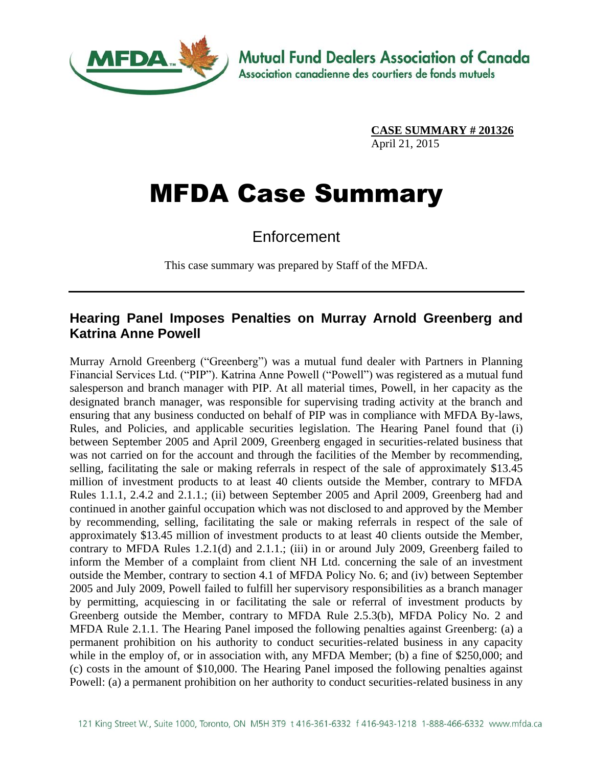

**CASE SUMMARY # 201326** April 21, 2015

## MFDA Case Summary

Enforcement

This case summary was prepared by Staff of the MFDA.

## **Hearing Panel Imposes Penalties on Murray Arnold Greenberg and Katrina Anne Powell**

Murray Arnold Greenberg ("Greenberg") was a mutual fund dealer with Partners in Planning Financial Services Ltd. ("PIP"). Katrina Anne Powell ("Powell") was registered as a mutual fund salesperson and branch manager with PIP. At all material times, Powell, in her capacity as the designated branch manager, was responsible for supervising trading activity at the branch and ensuring that any business conducted on behalf of PIP was in compliance with MFDA By-laws, Rules, and Policies, and applicable securities legislation. The Hearing Panel found that (i) between September 2005 and April 2009, Greenberg engaged in securities-related business that was not carried on for the account and through the facilities of the Member by recommending, selling, facilitating the sale or making referrals in respect of the sale of approximately \$13.45 million of investment products to at least 40 clients outside the Member, contrary to MFDA Rules 1.1.1, 2.4.2 and 2.1.1.; (ii) between September 2005 and April 2009, Greenberg had and continued in another gainful occupation which was not disclosed to and approved by the Member by recommending, selling, facilitating the sale or making referrals in respect of the sale of approximately \$13.45 million of investment products to at least 40 clients outside the Member, contrary to MFDA Rules 1.2.1(d) and 2.1.1.; (iii) in or around July 2009, Greenberg failed to inform the Member of a complaint from client NH Ltd. concerning the sale of an investment outside the Member, contrary to section 4.1 of MFDA Policy No. 6; and (iv) between September 2005 and July 2009, Powell failed to fulfill her supervisory responsibilities as a branch manager by permitting, acquiescing in or facilitating the sale or referral of investment products by Greenberg outside the Member, contrary to MFDA Rule 2.5.3(b), MFDA Policy No. 2 and MFDA Rule 2.1.1. The Hearing Panel imposed the following penalties against Greenberg: (a) a permanent prohibition on his authority to conduct securities-related business in any capacity while in the employ of, or in association with, any MFDA Member; (b) a fine of \$250,000; and (c) costs in the amount of \$10,000. The Hearing Panel imposed the following penalties against Powell: (a) a permanent prohibition on her authority to conduct securities-related business in any